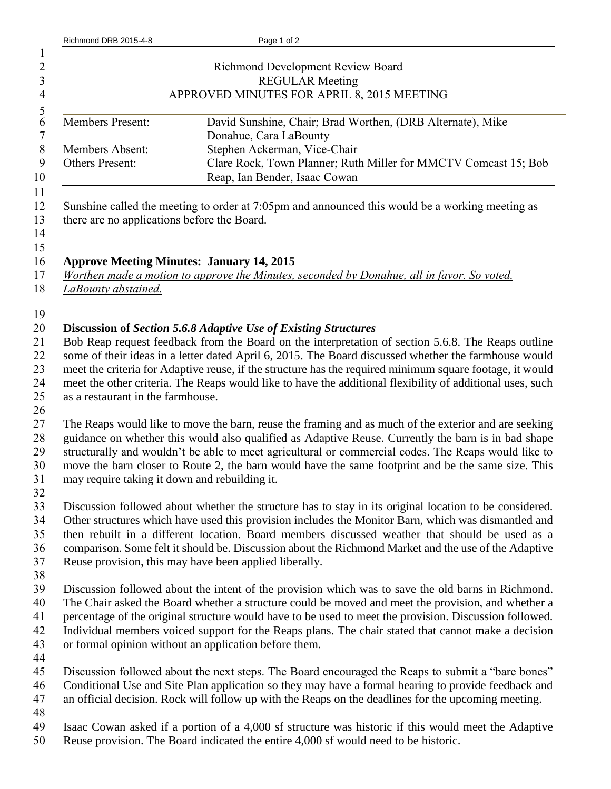| $\mathbf{1}$<br>2<br>$\overline{\mathbf{3}}$<br>$\overline{4}$ |                                                                                                                                                                                                                                                                                                                                                                                                                                                                                                                                                                                                                                                                                                                                                                                                                                                                                                                                                                                                                                 | <b>Richmond Development Review Board</b><br><b>REGULAR Meeting</b><br>APPROVED MINUTES FOR APRIL 8, 2015 MEETING                                                                                                                                                                                                                                                                                                          |  |
|----------------------------------------------------------------|---------------------------------------------------------------------------------------------------------------------------------------------------------------------------------------------------------------------------------------------------------------------------------------------------------------------------------------------------------------------------------------------------------------------------------------------------------------------------------------------------------------------------------------------------------------------------------------------------------------------------------------------------------------------------------------------------------------------------------------------------------------------------------------------------------------------------------------------------------------------------------------------------------------------------------------------------------------------------------------------------------------------------------|---------------------------------------------------------------------------------------------------------------------------------------------------------------------------------------------------------------------------------------------------------------------------------------------------------------------------------------------------------------------------------------------------------------------------|--|
| $\frac{5}{6}$<br>$\overline{7}$<br>$\,8\,$<br>9<br>10          | Members Present:<br>Members Absent:<br>Others Present:                                                                                                                                                                                                                                                                                                                                                                                                                                                                                                                                                                                                                                                                                                                                                                                                                                                                                                                                                                          | David Sunshine, Chair; Brad Worthen, (DRB Alternate), Mike<br>Donahue, Cara LaBounty<br>Stephen Ackerman, Vice-Chair<br>Clare Rock, Town Planner; Ruth Miller for MMCTV Comcast 15; Bob<br>Reap, Ian Bender, Isaac Cowan                                                                                                                                                                                                  |  |
| 11<br>12<br>13<br>14<br>15                                     | Sunshine called the meeting to order at 7:05pm and announced this would be a working meeting as<br>there are no applications before the Board.                                                                                                                                                                                                                                                                                                                                                                                                                                                                                                                                                                                                                                                                                                                                                                                                                                                                                  |                                                                                                                                                                                                                                                                                                                                                                                                                           |  |
| 16<br>17<br>18                                                 | <b>Approve Meeting Minutes: January 14, 2015</b><br>Worthen made a motion to approve the Minutes, seconded by Donahue, all in favor. So voted.<br>LaBounty abstained.                                                                                                                                                                                                                                                                                                                                                                                                                                                                                                                                                                                                                                                                                                                                                                                                                                                           |                                                                                                                                                                                                                                                                                                                                                                                                                           |  |
| 19<br>20<br>21<br>22<br>23<br>24<br>25<br>26                   | <b>Discussion of Section 5.6.8 Adaptive Use of Existing Structures</b><br>Bob Reap request feedback from the Board on the interpretation of section 5.6.8. The Reaps outline<br>some of their ideas in a letter dated April 6, 2015. The Board discussed whether the farmhouse would<br>meet the criteria for Adaptive reuse, if the structure has the required minimum square footage, it would<br>meet the other criteria. The Reaps would like to have the additional flexibility of additional uses, such<br>as a restaurant in the farmhouse.<br>The Reaps would like to move the barn, reuse the framing and as much of the exterior and are seeking<br>guidance on whether this would also qualified as Adaptive Reuse. Currently the barn is in bad shape<br>structurally and wouldn't be able to meet agricultural or commercial codes. The Reaps would like to<br>move the barn closer to Route 2, the barn would have the same footprint and be the same size. This<br>may require taking it down and rebuilding it. |                                                                                                                                                                                                                                                                                                                                                                                                                           |  |
| 27<br>28<br>29<br>30<br>31<br>32                               |                                                                                                                                                                                                                                                                                                                                                                                                                                                                                                                                                                                                                                                                                                                                                                                                                                                                                                                                                                                                                                 |                                                                                                                                                                                                                                                                                                                                                                                                                           |  |
| 33<br>34<br>35<br>36<br>37<br>38                               | Reuse provision, this may have been applied liberally.                                                                                                                                                                                                                                                                                                                                                                                                                                                                                                                                                                                                                                                                                                                                                                                                                                                                                                                                                                          | Discussion followed about whether the structure has to stay in its original location to be considered.<br>Other structures which have used this provision includes the Monitor Barn, which was dismantled and<br>then rebuilt in a different location. Board members discussed weather that should be used as a<br>comparison. Some felt it should be. Discussion about the Richmond Market and the use of the Adaptive   |  |
| 39<br>40<br>41<br>42<br>43<br>44                               | or formal opinion without an application before them.                                                                                                                                                                                                                                                                                                                                                                                                                                                                                                                                                                                                                                                                                                                                                                                                                                                                                                                                                                           | Discussion followed about the intent of the provision which was to save the old barns in Richmond.<br>The Chair asked the Board whether a structure could be moved and meet the provision, and whether a<br>percentage of the original structure would have to be used to meet the provision. Discussion followed.<br>Individual members voiced support for the Reaps plans. The chair stated that cannot make a decision |  |
| 45<br>46<br>47<br>48                                           |                                                                                                                                                                                                                                                                                                                                                                                                                                                                                                                                                                                                                                                                                                                                                                                                                                                                                                                                                                                                                                 | Discussion followed about the next steps. The Board encouraged the Reaps to submit a "bare bones"<br>Conditional Use and Site Plan application so they may have a formal hearing to provide feedback and<br>an official decision. Rock will follow up with the Reaps on the deadlines for the upcoming meeting.                                                                                                           |  |
| 49<br>50                                                       |                                                                                                                                                                                                                                                                                                                                                                                                                                                                                                                                                                                                                                                                                                                                                                                                                                                                                                                                                                                                                                 | Isaac Cowan asked if a portion of a 4,000 sf structure was historic if this would meet the Adaptive<br>Reuse provision. The Board indicated the entire 4,000 sf would need to be historic.                                                                                                                                                                                                                                |  |